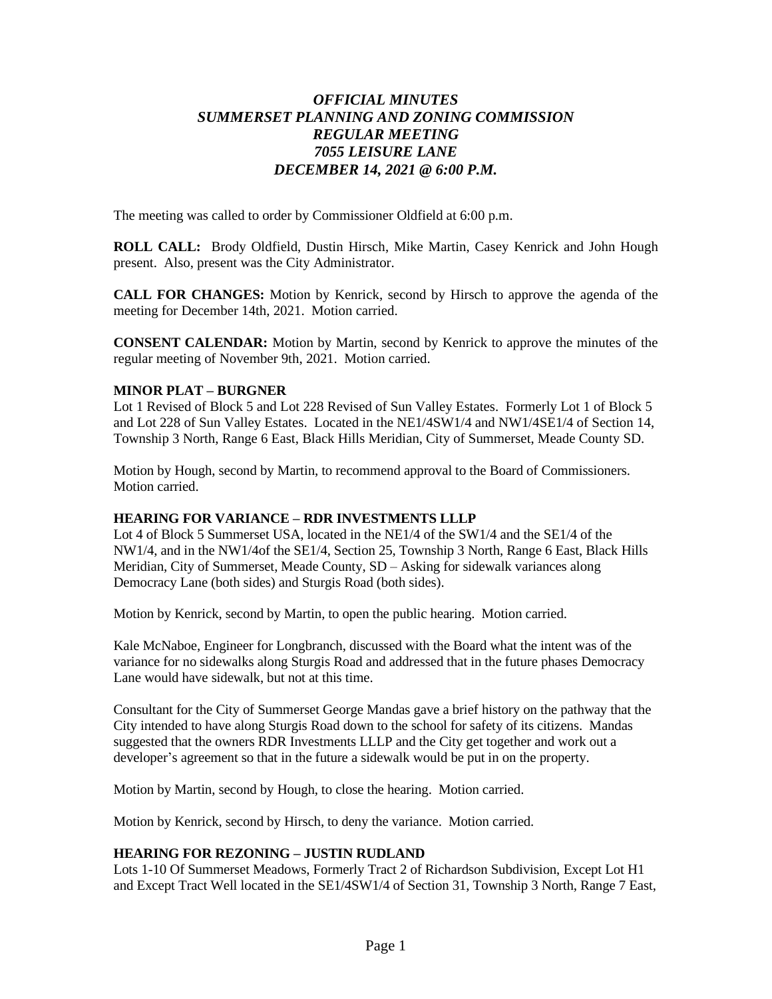# *OFFICIAL MINUTES SUMMERSET PLANNING AND ZONING COMMISSION REGULAR MEETING 7055 LEISURE LANE DECEMBER 14, 2021 @ 6:00 P.M.*

The meeting was called to order by Commissioner Oldfield at 6:00 p.m.

**ROLL CALL:** Brody Oldfield, Dustin Hirsch, Mike Martin, Casey Kenrick and John Hough present. Also, present was the City Administrator.

**CALL FOR CHANGES:** Motion by Kenrick, second by Hirsch to approve the agenda of the meeting for December 14th, 2021. Motion carried.

**CONSENT CALENDAR:** Motion by Martin, second by Kenrick to approve the minutes of the regular meeting of November 9th, 2021. Motion carried.

## **MINOR PLAT – BURGNER**

Lot 1 Revised of Block 5 and Lot 228 Revised of Sun Valley Estates. Formerly Lot 1 of Block 5 and Lot 228 of Sun Valley Estates. Located in the NE1/4SW1/4 and NW1/4SE1/4 of Section 14, Township 3 North, Range 6 East, Black Hills Meridian, City of Summerset, Meade County SD.

Motion by Hough, second by Martin, to recommend approval to the Board of Commissioners. Motion carried.

## **HEARING FOR VARIANCE – RDR INVESTMENTS LLLP**

Lot 4 of Block 5 Summerset USA, located in the NE1/4 of the SW1/4 and the SE1/4 of the NW1/4, and in the NW1/4of the SE1/4, Section 25, Township 3 North, Range 6 East, Black Hills Meridian, City of Summerset, Meade County, SD – Asking for sidewalk variances along Democracy Lane (both sides) and Sturgis Road (both sides).

Motion by Kenrick, second by Martin, to open the public hearing. Motion carried.

Kale McNaboe, Engineer for Longbranch, discussed with the Board what the intent was of the variance for no sidewalks along Sturgis Road and addressed that in the future phases Democracy Lane would have sidewalk, but not at this time.

Consultant for the City of Summerset George Mandas gave a brief history on the pathway that the City intended to have along Sturgis Road down to the school for safety of its citizens. Mandas suggested that the owners RDR Investments LLLP and the City get together and work out a developer's agreement so that in the future a sidewalk would be put in on the property.

Motion by Martin, second by Hough, to close the hearing. Motion carried.

Motion by Kenrick, second by Hirsch, to deny the variance. Motion carried.

## **HEARING FOR REZONING – JUSTIN RUDLAND**

Lots 1-10 Of Summerset Meadows, Formerly Tract 2 of Richardson Subdivision, Except Lot H1 and Except Tract Well located in the SE1/4SW1/4 of Section 31, Township 3 North, Range 7 East,